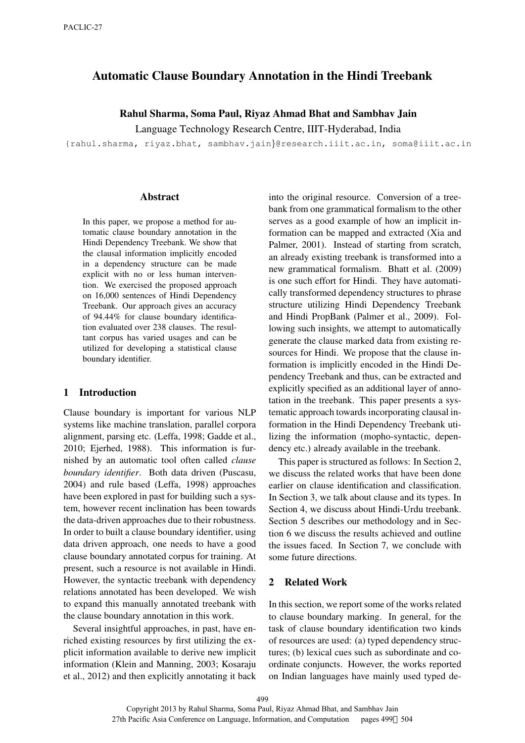# Automatic Clause Boundary Annotation in the Hindi Treebank

### Rahul Sharma, Soma Paul, Riyaz Ahmad Bhat and Sambhav Jain

Language Technology Research Centre, IIIT-Hyderabad, India

{rahul.sharma, riyaz.bhat, sambhav.jain}@research.iiit.ac.in, soma@iiit.ac.in

#### Abstract

In this paper, we propose a method for automatic clause boundary annotation in the Hindi Dependency Treebank. We show that the clausal information implicitly encoded in a dependency structure can be made explicit with no or less human intervention. We exercised the proposed approach on 16,000 sentences of Hindi Dependency Treebank. Our approach gives an accuracy of 94.44% for clause boundary identification evaluated over 238 clauses. The resultant corpus has varied usages and can be utilized for developing a statistical clause boundary identifier.

### 1 Introduction

Clause boundary is important for various NLP systems like machine translation, parallel corpora alignment, parsing etc. (Leffa, 1998; Gadde et al., 2010; Ejerhed, 1988). This information is furnished by an automatic tool often called *clause boundary identifier*. Both data driven (Puscasu, 2004) and rule based (Leffa, 1998) approaches have been explored in past for building such a system, however recent inclination has been towards the data-driven approaches due to their robustness. In order to built a clause boundary identifier, using data driven approach, one needs to have a good clause boundary annotated corpus for training. At present, such a resource is not available in Hindi. However, the syntactic treebank with dependency relations annotated has been developed. We wish to expand this manually annotated treebank with the clause boundary annotation in this work.

Several insightful approaches, in past, have enriched existing resources by first utilizing the explicit information available to derive new implicit information (Klein and Manning, 2003; Kosaraju et al., 2012) and then explicitly annotating it back into the original resource. Conversion of a treebank from one grammatical formalism to the other serves as a good example of how an implicit information can be mapped and extracted (Xia and Palmer, 2001). Instead of starting from scratch, an already existing treebank is transformed into a new grammatical formalism. Bhatt et al. (2009) is one such effort for Hindi. They have automatically transformed dependency structures to phrase structure utilizing Hindi Dependency Treebank and Hindi PropBank (Palmer et al., 2009). Following such insights, we attempt to automatically generate the clause marked data from existing resources for Hindi. We propose that the clause information is implicitly encoded in the Hindi Dependency Treebank and thus, can be extracted and explicitly specified as an additional layer of annotation in the treebank. This paper presents a systematic approach towards incorporating clausal information in the Hindi Dependency Treebank utilizing the information (mopho-syntactic, dependency etc.) already available in the treebank.

This paper is structured as follows: In Section 2, we discuss the related works that have been done earlier on clause identification and classification. In Section 3, we talk about clause and its types. In Section 4, we discuss about Hindi-Urdu treebank. Section 5 describes our methodology and in Section 6 we discuss the results achieved and outline the issues faced. In Section 7, we conclude with some future directions.

### 2 Related Work

In this section, we report some of the works related to clause boundary marking. In general, for the task of clause boundary identification two kinds of resources are used: (a) typed dependency structures; (b) lexical cues such as subordinate and coordinate conjuncts. However, the works reported on Indian languages have mainly used typed de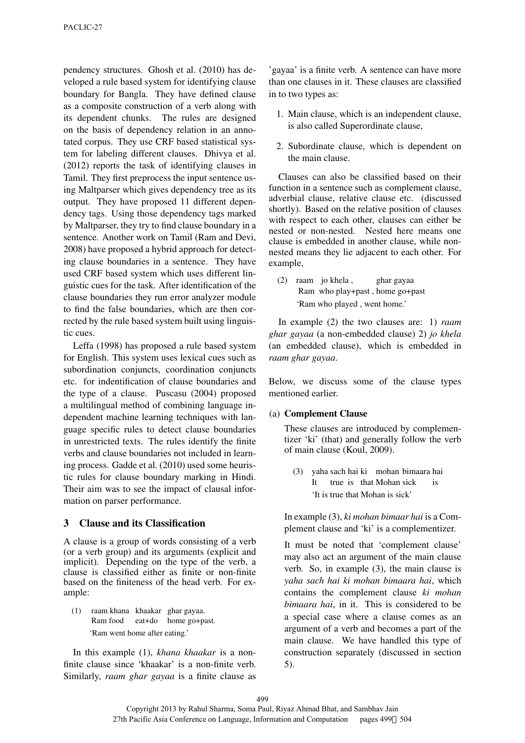pendency structures. Ghosh et al. (2010) has developed a rule based system for identifying clause boundary for Bangla. They have defined clause as a composite construction of a verb along with its dependent chunks. The rules are designed on the basis of dependency relation in an annotated corpus. They use CRF based statistical system for labeling different clauses. Dhivya et al. (2012) reports the task of identifying clauses in Tamil. They first preprocess the input sentence using Maltparser which gives dependency tree as its output. They have proposed 11 different dependency tags. Using those dependency tags marked by Maltparser, they try to find clause boundary in a sentence. Another work on Tamil (Ram and Devi, 2008) have proposed a hybrid approach for detecting clause boundaries in a sentence. They have used CRF based system which uses different linguistic cues for the task. After identification of the clause boundaries they run error analyzer module to find the false boundaries, which are then corrected by the rule based system built using linguistic cues.

Leffa (1998) has proposed a rule based system for English. This system uses lexical cues such as subordination conjuncts, coordination conjuncts etc. for indentification of clause boundaries and the type of a clause. Puscasu (2004) proposed a multilingual method of combining language independent machine learning techniques with language specific rules to detect clause boundaries in unrestricted texts. The rules identify the finite verbs and clause boundaries not included in learning process. Gadde et al. (2010) used some heuristic rules for clause boundary marking in Hindi. Their aim was to see the impact of clausal information on parser performance.

### 3 Clause and its Classification

A clause is a group of words consisting of a verb (or a verb group) and its arguments (explicit and implicit). Depending on the type of the verb, a clause is classified either as finite or non-finite based on the finiteness of the head verb. For example:

(1) raam khana khaakar ghar gayaa. Ram food eat+do home go+past. 'Ram went home after eating.'

In this example (1), *khana khaakar* is a nonfinite clause since 'khaakar' is a non-finite verb. Similarly, *raam ghar gayaa* is a finite clause as 'gayaa' is a finite verb. A sentence can have more than one clauses in it. These clauses are classified in to two types as:

- 1. Main clause, which is an independent clause, is also called Superordinate clause,
- 2. Subordinate clause, which is dependent on the main clause.

Clauses can also be classified based on their function in a sentence such as complement clause, adverbial clause, relative clause etc. (discussed shortly). Based on the relative position of clauses with respect to each other, clauses can either be nested or non-nested. Nested here means one clause is embedded in another clause, while nonnested means they lie adjacent to each other. For example,

(2) raam jo khela , Ram who play+past , home go+past ghar gayaa 'Ram who played , went home.'

In example (2) the two clauses are: 1) *raam ghar gayaa* (a non-embedded clause) 2) *jo khela* (an embedded clause), which is embedded in *raam ghar gayaa*.

Below, we discuss some of the clause types mentioned earlier.

### (a) Complement Clause

These clauses are introduced by complementizer 'ki' (that) and generally follow the verb of main clause (Koul, 2009).

(3) yaha sach hai ki mohan bimaara hai It true is that Mohan sick is 'It is true that Mohan is sick'

In example (3), *ki mohan bimaar hai* is a Complement clause and 'ki' is a complementizer.

It must be noted that 'complement clause' may also act an argument of the main clause verb. So, in example (3), the main clause is *yaha sach hai ki mohan bimaara hai*, which contains the complement clause *ki mohan bimaara hai*, in it. This is considered to be a special case where a clause comes as an argument of a verb and becomes a part of the main clause. We have handled this type of construction separately (discussed in section 5).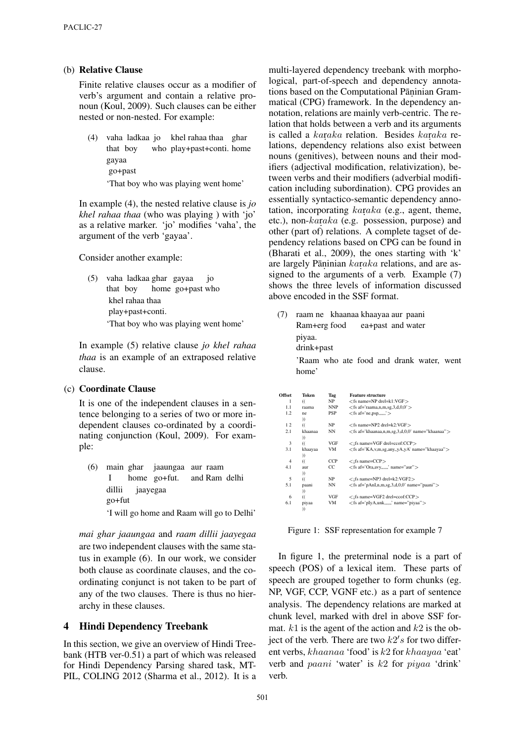### (b) Relative Clause

Finite relative clauses occur as a modifier of verb's argument and contain a relative pronoun (Koul, 2009). Such clauses can be either nested or non-nested. For example:

(4) vaha ladkaa jo khel rahaa thaa ghar that boy who play+past+conti. home gayaa go+past

'That boy who was playing went home'

In example (4), the nested relative clause is *jo khel rahaa thaa* (who was playing ) with 'jo' as a relative marker. 'jo' modifies 'vaha', the argument of the verb 'gayaa'.

Consider another example:

(5) vaha ladkaa ghar gayaa that boy home go+past who jo khel rahaa thaa play+past+conti. 'That boy who was playing went home'

In example (5) relative clause *jo khel rahaa thaa* is an example of an extraposed relative clause.

### (c) Coordinate Clause

It is one of the independent clauses in a sentence belonging to a series of two or more independent clauses co-ordinated by a coordinating conjunction (Koul, 2009). For example:

(6) main ghar jaaungaa aur raam I home go+fut. and Ram delhi dillii go+fut jaayegaa 'I will go home and Raam will go to Delhi'

*mai ghar jaaungaa* and *raam dillii jaayegaa* are two independent clauses with the same status in example (6). In our work, we consider both clause as coordinate clauses, and the coordinating conjunct is not taken to be part of any of the two clauses. There is thus no hierarchy in these clauses.

### 4 Hindi Dependency Treebank

In this section, we give an overview of Hindi Treebank (HTB ver-0.51) a part of which was released for Hindi Dependency Parsing shared task, MT-PIL, COLING 2012 (Sharma et al., 2012). It is a multi-layered dependency treebank with morphological, part-of-speech and dependency annotations based on the Computational Pāṇinian Grammatical (CPG) framework. In the dependency annotation, relations are mainly verb-centric. The relation that holds between a verb and its arguments is called a  $karaka$  relation. Besides  $karaka$  relations, dependency relations also exist between nouns (genitives), between nouns and their modifiers (adjectival modification, relativization), between verbs and their modifiers (adverbial modification including subordination). CPG provides an essentially syntactico-semantic dependency annotation, incorporating  $karaka$  (e.g., agent, theme, etc.), non- $karaka$  (e.g. possession, purpose) and other (part of) relations. A complete tagset of dependency relations based on CPG can be found in (Bharati et al., 2009), the ones starting with 'k' are largely Pāṇinian karaka relations, and are assigned to the arguments of a verb. Example (7) shows the three levels of information discussed above encoded in the SSF format.

(7) raam ne khaanaa khaayaa aur paani Ram+erg food ea+past and water piyaa. drink+past 'Raam who ate food and drank water, went

home'

| <b>Offset</b> | Token               | Tag        | <b>Feature structure</b>                             |
|---------------|---------------------|------------|------------------------------------------------------|
| 1             | $\mathcal{U}$       | NP         | $<$ fs name=NP drel=k1:VGF $>$                       |
| 1.1           | raama               | NNP        | $<$ fs af='raama,n,m,sg,3,d,0,0' $>$                 |
| 1.2           | ne.                 | <b>PSP</b> | $<$ fs af='ne, psp,' $>$                             |
| 12            | ))<br>$\mathcal{U}$ | NP         | $<$ fs name=NP2 drel=k2:VGF $>$                      |
| 2.1           | khaanaa<br>))       | NN         | <fs af="khaanaa,n,m,sg,3,d,0,0" name="khaanaa"></fs> |
| 3             | $\mathcal{U}$       | VGF        | $\langle$ ifs name=VGF drel=ccof:CCP $>$             |
| 3.1           | khaayaa<br>))       | VM         | <fs af="KA,v,m,sg,any,,yA,yA" name="khaayaa"></fs>   |
| 4             | $\mathcal{L}$       | <b>CCP</b> | $\langle$ ifs name=CCP $>$                           |
| 4.1           | aur<br>))           | CC.        | $<$ fs af='Ora,avy,' name="aur" >                    |
| 5             | $\mathcal{U}$       | NP         | $\langle$ ifs name=NP3 drel=k2:VGF2 $>$              |
| 5.1           | paani<br>)          | NN         | $\langle$ fs af='pAnI,n,m,sg,3,d,0,0' name="paani">  |
| 6             | $\mathcal{U}$       | VGF        | $\langle$ ifs name=VGF2 drel=ccof:CCP $>$            |
| 6.1           | piyaa<br>))         | VM         | $\langle$ fs af='pIyA,unk,,,,,,' name="piyaa">       |

Figure 1: SSF representation for example 7

In figure 1, the preterminal node is a part of speech (POS) of a lexical item. These parts of speech are grouped together to form chunks (eg. NP, VGF, CCP, VGNF etc.) as a part of sentence analysis. The dependency relations are marked at chunk level, marked with drel in above SSF format.  $k1$  is the agent of the action and  $k2$  is the object of the verb. There are two  $k2's$  for two different verbs, khaanaa 'food' is k2 for khaayaa 'eat' verb and paani 'water' is k2 for piyaa 'drink' verb.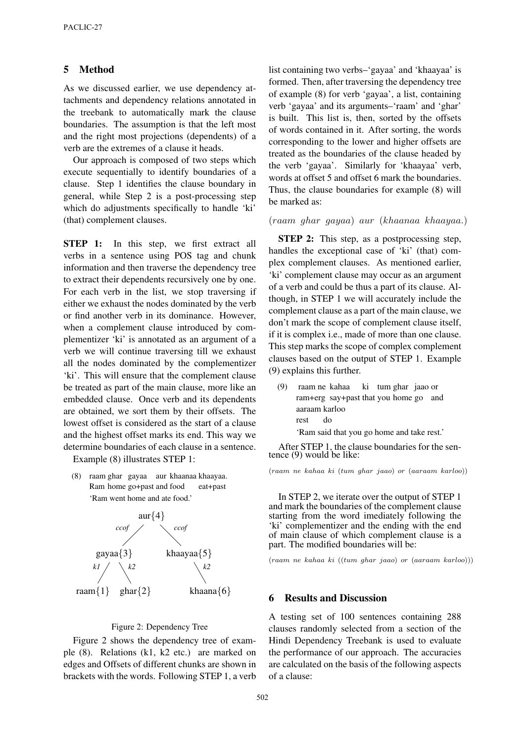### 5 Method

As we discussed earlier, we use dependency attachments and dependency relations annotated in the treebank to automatically mark the clause boundaries. The assumption is that the left most and the right most projections (dependents) of a verb are the extremes of a clause it heads.

Our approach is composed of two steps which execute sequentially to identify boundaries of a clause. Step 1 identifies the clause boundary in general, while Step 2 is a post-processing step which do adjustments specifically to handle 'ki' (that) complement clauses.

**STEP 1:** In this step, we first extract all verbs in a sentence using POS tag and chunk information and then traverse the dependency tree to extract their dependents recursively one by one. For each verb in the list, we stop traversing if either we exhaust the nodes dominated by the verb or find another verb in its dominance. However, when a complement clause introduced by complementizer 'ki' is annotated as an argument of a verb we will continue traversing till we exhaust all the nodes dominated by the complementizer 'ki'. This will ensure that the complement clause be treated as part of the main clause, more like an embedded clause. Once verb and its dependents are obtained, we sort them by their offsets. The lowest offset is considered as the start of a clause and the highest offset marks its end. This way we determine boundaries of each clause in a sentence.

Example (8) illustrates STEP 1:

(8) raam ghar gayaa aur khaanaa khaayaa. Ram home go+past and food eat+past 'Ram went home and ate food.'



#### Figure 2: Dependency Tree

Figure 2 shows the dependency tree of example (8). Relations (k1, k2 etc.) are marked on edges and Offsets of different chunks are shown in brackets with the words. Following STEP 1, a verb list containing two verbs–'gayaa' and 'khaayaa' is formed. Then, after traversing the dependency tree of example (8) for verb 'gayaa', a list, containing verb 'gayaa' and its arguments–'raam' and 'ghar' is built. This list is, then, sorted by the offsets of words contained in it. After sorting, the words corresponding to the lower and higher offsets are treated as the boundaries of the clause headed by the verb 'gayaa'. Similarly for 'khaayaa' verb, words at offset 5 and offset 6 mark the boundaries. Thus, the clause boundaries for example (8) will be marked as:

#### (raam ghar gayaa) aur (khaanaa khaayaa.)

**STEP 2:** This step, as a postprocessing step, handles the exceptional case of 'ki' (that) complex complement clauses. As mentioned earlier, 'ki' complement clause may occur as an argument of a verb and could be thus a part of its clause. Although, in STEP 1 we will accurately include the complement clause as a part of the main clause, we don't mark the scope of complement clause itself, if it is complex i.e., made of more than one clause. This step marks the scope of complex complement clauses based on the output of STEP 1. Example (9) explains this further.

(9) raam ne kahaa ram+erg say+past that you home go and ki tum ghar jaao or aaraam karloo rest do

'Ram said that you go home and take rest.'

After STEP 1, the clause boundaries for the sentence (9) would be like:

(raam ne kahaa ki (tum ghar jaao) or (aaraam karloo))

In STEP 2, we iterate over the output of STEP 1 and mark the boundaries of the complement clause starting from the word imediately following the 'ki' complementizer and the ending with the end of main clause of which complement clause is a part. The modified boundaries will be:

(raam ne kahaa ki ((tum ghar jaao) or (aaraam karloo)))

### 6 Results and Discussion

A testing set of 100 sentences containing 288 clauses randomly selected from a section of the Hindi Dependency Treebank is used to evaluate the performance of our approach. The accuracies are calculated on the basis of the following aspects of a clause: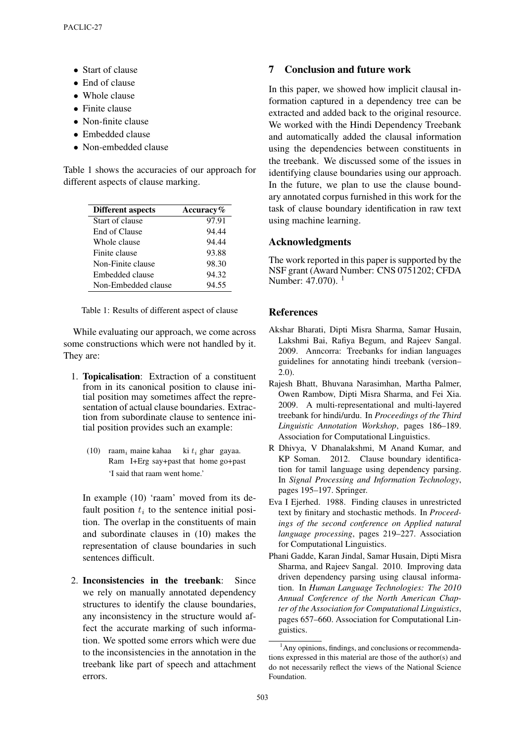- Start of clause
- End of clause
- Whole clause
- Finite clause
- Non-finite clause
- Embedded clause
- Non-embedded clause

Table 1 shows the accuracies of our approach for different aspects of clause marking.

| <b>Different aspects</b> | Accuracy $\%$ |
|--------------------------|---------------|
| Start of clause          | 97.91         |
| End of Clause            | 94.44         |
| Whole clause             | 94.44         |
| Finite clause            | 93.88         |
| Non-Finite clause        | 98.30         |
| Embedded clause          | 94.32         |
| Non-Embedded clause      | 94.55         |

Table 1: Results of different aspect of clause

While evaluating our approach, we come across some constructions which were not handled by it. They are:

- 1. Topicalisation: Extraction of a constituent from in its canonical position to clause initial position may sometimes affect the representation of actual clause boundaries. Extraction from subordinate clause to sentence initial position provides such an example:
	- (10) raam<sub>i</sub> maine kahaa ki  $t_i$  ghar gayaa. Ram I+Erg say+past that home go+past 'I said that raam went home.'

In example (10) 'raam' moved from its default position  $t_i$  to the sentence initial position. The overlap in the constituents of main and subordinate clauses in (10) makes the representation of clause boundaries in such sentences difficult.

2. Inconsistencies in the treebank: Since we rely on manually annotated dependency structures to identify the clause boundaries, any inconsistency in the structure would affect the accurate marking of such information. We spotted some errors which were due to the inconsistencies in the annotation in the treebank like part of speech and attachment errors.

# 7 Conclusion and future work

In this paper, we showed how implicit clausal information captured in a dependency tree can be extracted and added back to the original resource. We worked with the Hindi Dependency Treebank and automatically added the clausal information using the dependencies between constituents in the treebank. We discussed some of the issues in identifying clause boundaries using our approach. In the future, we plan to use the clause boundary annotated corpus furnished in this work for the task of clause boundary identification in raw text using machine learning.

# Acknowledgments

The work reported in this paper is supported by the NSF grant (Award Number: CNS 0751202; CFDA Number: 47.070).<sup>1</sup>

### **References**

- Akshar Bharati, Dipti Misra Sharma, Samar Husain, Lakshmi Bai, Rafiya Begum, and Rajeev Sangal. 2009. Anncorra: Treebanks for indian languages guidelines for annotating hindi treebank (version– 2.0).
- Rajesh Bhatt, Bhuvana Narasimhan, Martha Palmer, Owen Rambow, Dipti Misra Sharma, and Fei Xia. 2009. A multi-representational and multi-layered treebank for hindi/urdu. In *Proceedings of the Third Linguistic Annotation Workshop*, pages 186–189. Association for Computational Linguistics.
- R Dhivya, V Dhanalakshmi, M Anand Kumar, and KP Soman. 2012. Clause boundary identification for tamil language using dependency parsing. In *Signal Processing and Information Technology*, pages 195–197. Springer.
- Eva I Ejerhed. 1988. Finding clauses in unrestricted text by finitary and stochastic methods. In *Proceedings of the second conference on Applied natural language processing*, pages 219–227. Association for Computational Linguistics.
- Phani Gadde, Karan Jindal, Samar Husain, Dipti Misra Sharma, and Rajeev Sangal. 2010. Improving data driven dependency parsing using clausal information. In *Human Language Technologies: The 2010 Annual Conference of the North American Chapter of the Association for Computational Linguistics*, pages 657–660. Association for Computational Linguistics.

<sup>&</sup>lt;sup>1</sup>Any opinions, findings, and conclusions or recommendations expressed in this material are those of the author(s) and do not necessarily reflect the views of the National Science Foundation.